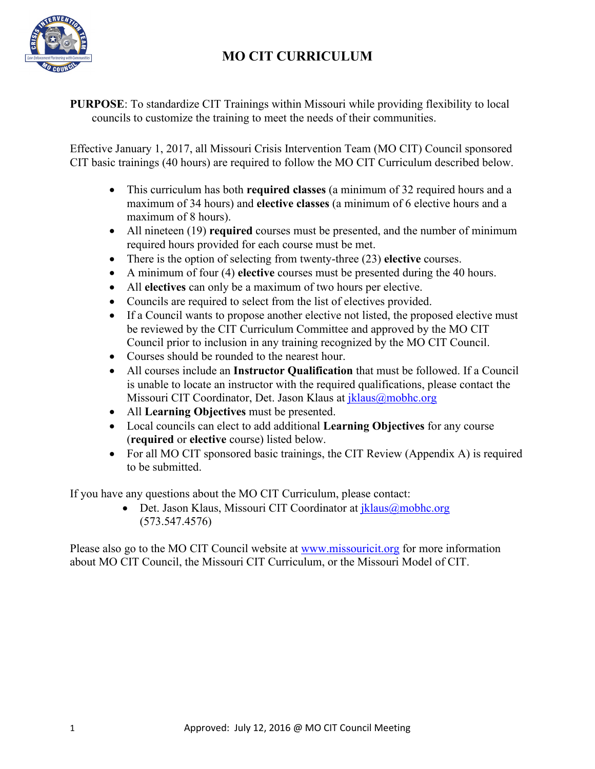

**PURPOSE**: To standardize CIT Trainings within Missouri while providing flexibility to local councils to customize the training to meet the needs of their communities.

Effective January 1, 2017, all Missouri Crisis Intervention Team (MO CIT) Council sponsored CIT basic trainings (40 hours) are required to follow the MO CIT Curriculum described below.

- This curriculum has both **required classes** (a minimum of 32 required hours and a maximum of 34 hours) and **elective classes** (a minimum of 6 elective hours and a maximum of 8 hours).
- All nineteen (19) **required** courses must be presented, and the number of minimum required hours provided for each course must be met.
- There is the option of selecting from twenty-three (23) **elective** courses.
- A minimum of four (4) **elective** courses must be presented during the 40 hours.
- All **electives** can only be a maximum of two hours per elective.
- Councils are required to select from the list of electives provided.
- If a Council wants to propose another elective not listed, the proposed elective must be reviewed by the CIT Curriculum Committee and approved by the MO CIT Council prior to inclusion in any training recognized by the MO CIT Council.
- Courses should be rounded to the nearest hour.
- All courses include an **Instructor Qualification** that must be followed. If a Council is unable to locate an instructor with the required qualifications, please contact the Missouri CIT Coordinator, Det. Jason Klaus at *iklaus@mobhc.org*
- All **Learning Objectives** must be presented.
- Local councils can elect to add additional **Learning Objectives** for any course (**required** or **elective** course) listed below.
- For all MO CIT sponsored basic trainings, the CIT Review (Appendix A) is required to be submitted.

If you have any questions about the MO CIT Curriculum, please contact:

• Det. Jason Klaus, Missouri CIT Coordinator at [jklaus@mobhc.org](mailto:jklaus@mobhc.org) (573.547.4576)

Please also go to the MO CIT Council website at [www.missouricit.org](http://www.missouricit.org/) for more information about MO CIT Council, the Missouri CIT Curriculum, or the Missouri Model of CIT.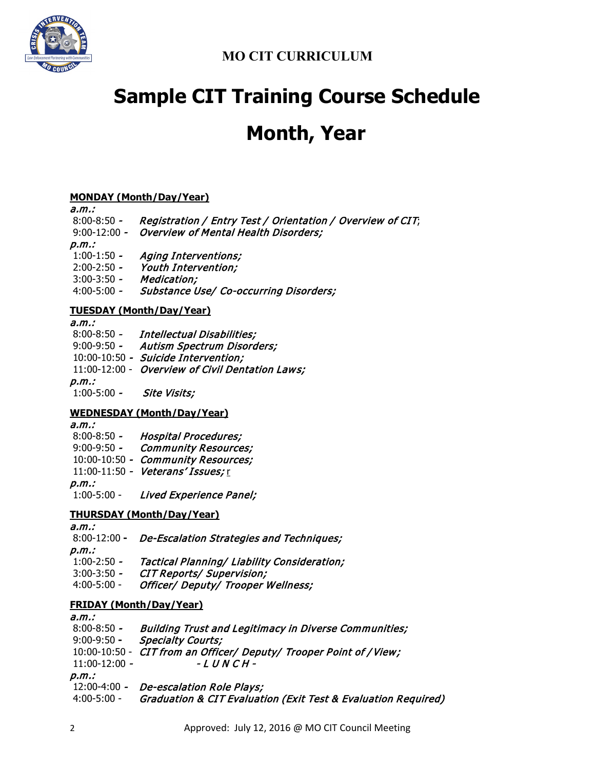

# **Sample CIT Training Course Schedule**

# **Month, Year**

# **MONDAY (Month/Day/Year)**

#### a.m.:

- 8:00-8:50 Registration / Entry Test / Orientation / Overview of CIT;
- 9:00-12:00 Overview of Mental Health Disorders;

#### p.m.:

- 1:00-1:50 Aging Interventions;
- 2:00-2:50 Youth Intervention;
- 3:00-3:50 Medication;
- 4:00-5:00 Substance Use/ Co-occurring Disorders;

## **TUESDAY (Month/Day/Year)**

# a.m.:

- 8:00-8:50 Intellectual Disabilities;
- 9:00-9:50 Autism Spectrum Disorders;
- 10:00-10:50 Suicide Intervention;
- 11:00-12:00 Overview of Civil Dentation Laws;
- p.m.:

1:00-5:00 - Site Visits;

# **WEDNESDAY (Month/Day/Year)**

a.m.:

- 8:00-8:50 Hospital Procedures;
- 9:00-9:50 Community Resources;
- 10:00-10:50 Community Resources;
- 11:00-11:50 Veterans' Issues; r

p.m.:

1:00-5:00 - Lived Experience Panel;

# **THURSDAY (Month/Day/Year)**

#### a.m.:

- 8:00-12:00De-Escalation Strategies and Techniques;
- p.m.:
- 1:00-2:50 Tactical Planning/ Liability Consideration;
- 3:00-3:50 CIT Reports/ Supervision;
- 4:00-5:00 Officer/ Deputy/ Trooper Wellness;

#### **FRIDAY (Month/Day/Year)**

a.m.:

- 8:00-8:50 Building Trust and Legitimacy in Diverse Communities;
- 9:00-9:50 **-** Specialty Courts;
- 10:00-10:50 CIT from an Officer/ Deputy/ Trooper Point of / View;
- $11:00-12:00$  - LUNCH -

p.m.:

- 12:00-4:00 De-escalation Role Plays;
- 4:00-5:00 Graduation & CIT Evaluation (Exit Test & Evaluation Required)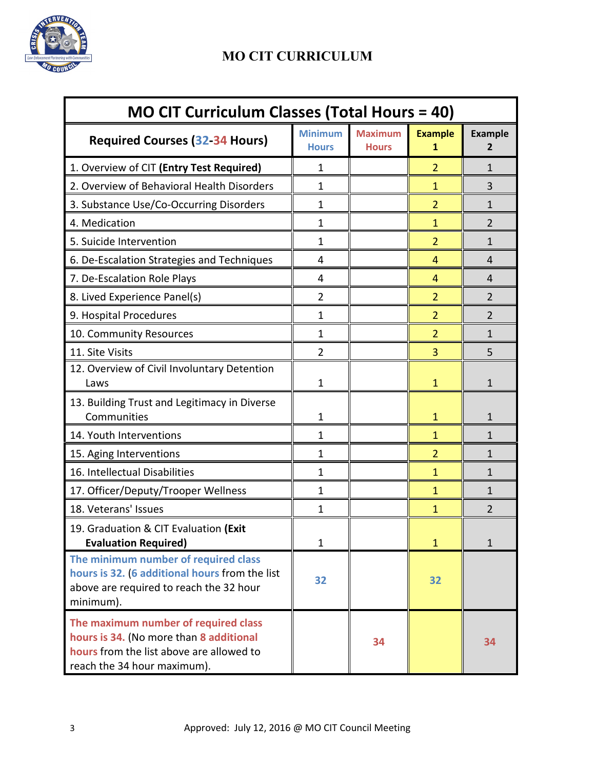

| <b>MO CIT Curriculum Classes (Total Hours = 40)</b>                                                                                                        |                                |                                |                     |                     |  |
|------------------------------------------------------------------------------------------------------------------------------------------------------------|--------------------------------|--------------------------------|---------------------|---------------------|--|
| <b>Required Courses (32-34 Hours)</b>                                                                                                                      | <b>Minimum</b><br><b>Hours</b> | <b>Maximum</b><br><b>Hours</b> | <b>Example</b><br>1 | <b>Example</b><br>2 |  |
| 1. Overview of CIT (Entry Test Required)                                                                                                                   | $\mathbf 1$                    |                                | $\overline{2}$      | 1                   |  |
| 2. Overview of Behavioral Health Disorders                                                                                                                 | $\mathbf 1$                    |                                | 1                   | 3                   |  |
| 3. Substance Use/Co-Occurring Disorders                                                                                                                    | 1                              |                                | $\overline{2}$      | $\mathbf{1}$        |  |
| 4. Medication                                                                                                                                              | $\mathbf 1$                    |                                | $\mathbf{1}$        | 2                   |  |
| 5. Suicide Intervention                                                                                                                                    | $\mathbf 1$                    |                                | $\overline{2}$      | $\mathbf{1}$        |  |
| 6. De-Escalation Strategies and Techniques                                                                                                                 | 4                              |                                | 4                   | $\overline{4}$      |  |
| 7. De-Escalation Role Plays                                                                                                                                | 4                              |                                | 4                   | 4                   |  |
| 8. Lived Experience Panel(s)                                                                                                                               | $\overline{2}$                 |                                | $\overline{2}$      | $\overline{2}$      |  |
| 9. Hospital Procedures                                                                                                                                     | $\mathbf 1$                    |                                | $\overline{2}$      | $\overline{2}$      |  |
| 10. Community Resources                                                                                                                                    | $\mathbf 1$                    |                                | $\overline{2}$      | $\mathbf{1}$        |  |
| 11. Site Visits                                                                                                                                            | $\overline{2}$                 |                                | 3                   | 5                   |  |
| 12. Overview of Civil Involuntary Detention<br>Laws                                                                                                        | $\mathbf 1$                    |                                | $\mathbf{1}$        | 1                   |  |
| 13. Building Trust and Legitimacy in Diverse<br>Communities                                                                                                | $\mathbf{1}$                   |                                | $\mathbf{1}$        | 1                   |  |
| 14. Youth Interventions                                                                                                                                    | $\mathbf{1}$                   |                                | $\mathbf{1}$        | $\mathbf{1}$        |  |
| 15. Aging Interventions                                                                                                                                    | $\mathbf 1$                    |                                | $\overline{2}$      | 1                   |  |
| 16. Intellectual Disabilities                                                                                                                              | $\mathbf 1$                    |                                | $\mathbf{1}$        | $\mathbf{1}$        |  |
| 17. Officer/Deputy/Trooper Wellness                                                                                                                        | $\mathbf{1}$                   |                                | 1                   | 1                   |  |
| 18. Veterans' Issues                                                                                                                                       | $\mathbf 1$                    |                                | $\mathbf{1}$        | $\overline{2}$      |  |
| 19. Graduation & CIT Evaluation (Exit<br><b>Evaluation Required)</b>                                                                                       | $\mathbf 1$                    |                                | $\mathbf{1}$        | 1                   |  |
| The minimum number of required class<br>hours is 32. (6 additional hours from the list<br>above are required to reach the 32 hour<br>minimum).             | 32                             |                                | 32                  |                     |  |
| The maximum number of required class<br>hours is 34. (No more than 8 additional<br>hours from the list above are allowed to<br>reach the 34 hour maximum). |                                | 34                             |                     | 34                  |  |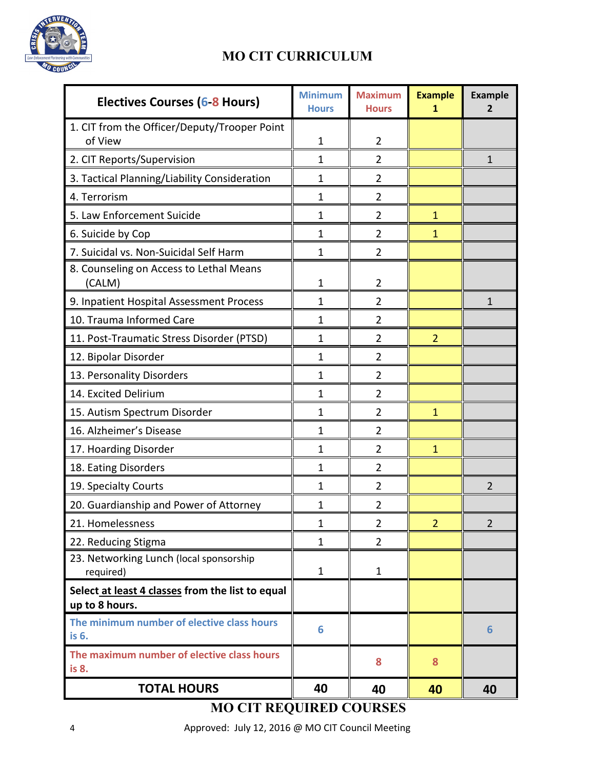

| <b>Electives Courses (6-8 Hours)</b>                               | <b>Minimum</b><br><b>Hours</b> | <b>Maximum</b><br><b>Hours</b> | <b>Example</b><br>1 | <b>Example</b><br>2 |
|--------------------------------------------------------------------|--------------------------------|--------------------------------|---------------------|---------------------|
| 1. CIT from the Officer/Deputy/Trooper Point<br>of View            | $\mathbf 1$                    | $\overline{2}$                 |                     |                     |
| 2. CIT Reports/Supervision                                         | $\mathbf 1$                    | $\overline{2}$                 |                     | $\mathbf{1}$        |
| 3. Tactical Planning/Liability Consideration                       | 1                              | $\overline{2}$                 |                     |                     |
| 4. Terrorism                                                       | 1                              | $\overline{2}$                 |                     |                     |
| 5. Law Enforcement Suicide                                         | $\mathbf 1$                    | $\overline{2}$                 | $\mathbf{1}$        |                     |
| 6. Suicide by Cop                                                  | $\mathbf 1$                    | $\overline{2}$                 | $\mathbf{1}$        |                     |
| 7. Suicidal vs. Non-Suicidal Self Harm                             | $\mathbf{1}$                   | $\overline{2}$                 |                     |                     |
| 8. Counseling on Access to Lethal Means<br>(CALM)                  | $\mathbf 1$                    | $\overline{2}$                 |                     |                     |
| 9. Inpatient Hospital Assessment Process                           | 1                              | $\overline{2}$                 |                     | 1                   |
| 10. Trauma Informed Care                                           | $\mathbf 1$                    | $\overline{2}$                 |                     |                     |
| 11. Post-Traumatic Stress Disorder (PTSD)                          | 1                              | $\overline{2}$                 | $\overline{2}$      |                     |
| 12. Bipolar Disorder                                               | $\mathbf 1$                    | $\overline{2}$                 |                     |                     |
| 13. Personality Disorders                                          | $\mathbf 1$                    | $\overline{2}$                 |                     |                     |
| 14. Excited Delirium                                               | 1                              | $\overline{2}$                 |                     |                     |
| 15. Autism Spectrum Disorder                                       | $\mathbf{1}$                   | $\overline{2}$                 | $\mathbf{1}$        |                     |
| 16. Alzheimer's Disease                                            | $\mathbf 1$                    | $\overline{2}$                 |                     |                     |
| 17. Hoarding Disorder                                              | 1                              | $\overline{2}$                 | 1                   |                     |
| 18. Eating Disorders                                               | $\mathbf 1$                    | $\overline{2}$                 |                     |                     |
| 19. Specialty Courts                                               | $\mathbf 1$                    | $\overline{2}$                 |                     | $\overline{2}$      |
| 20. Guardianship and Power of Attorney                             | 1                              | $\overline{\mathbf{c}}$        |                     |                     |
| 21. Homelessness                                                   | ı                              | $\overline{2}$                 | $\overline{2}$      | $\overline{2}$      |
| 22. Reducing Stigma                                                | $\mathbf{1}$                   | $\overline{2}$                 |                     |                     |
| 23. Networking Lunch (local sponsorship<br>required)               | $\mathbf 1$                    | 1                              |                     |                     |
| Select at least 4 classes from the list to equal<br>up to 8 hours. |                                |                                |                     |                     |
| The minimum number of elective class hours<br>is 6.                | 6                              |                                |                     | $6\phantom{1}6$     |
| The maximum number of elective class hours<br>is 8.                |                                | 8                              | 8                   |                     |
| <b>TOTAL HOURS</b>                                                 | 40                             | 40                             | 40                  | 40                  |

**MO CIT REQUIRED COURSES**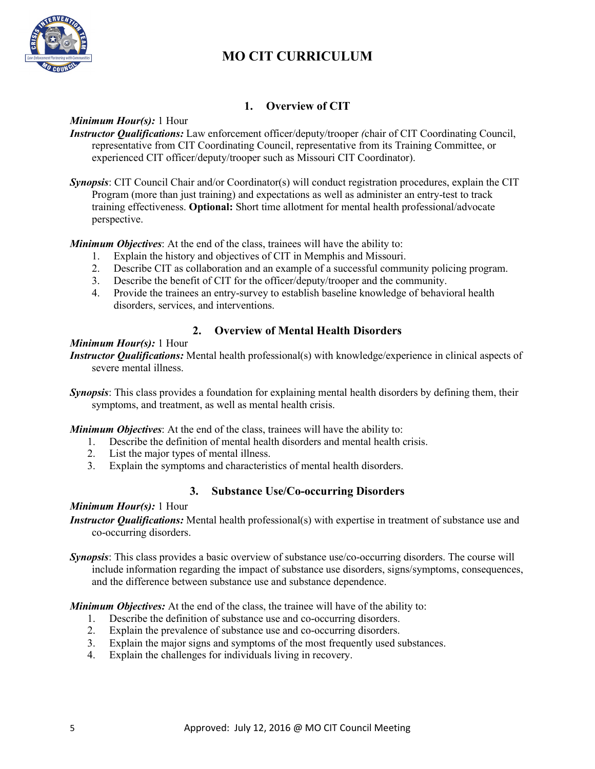

# **1. Overview of CIT**

## *Minimum Hour(s):* 1 Hour

*Instructor Qualifications:* Law enforcement officer/deputy/trooper *(*chair of CIT Coordinating Council, representative from CIT Coordinating Council, representative from its Training Committee, or experienced CIT officer/deputy/trooper such as Missouri CIT Coordinator).

**Synopsis**: CIT Council Chair and/or Coordinator(s) will conduct registration procedures, explain the CIT Program (more than just training) and expectations as well as administer an entry-test to track training effectiveness. **Optional:** Short time allotment for mental health professional/advocate perspective.

*Minimum Objectives*: At the end of the class, trainees will have the ability to:

- 1. Explain the history and objectives of CIT in Memphis and Missouri.
- 2. Describe CIT as collaboration and an example of a successful community policing program.
- 3. Describe the benefit of CIT for the officer/deputy/trooper and the community.
- 4. Provide the trainees an entry-survey to establish baseline knowledge of behavioral health disorders, services, and interventions.

# **2. Overview of Mental Health Disorders**

#### *Minimum Hour(s):* 1 Hour

*Instructor Qualifications:* Mental health professional(s) with knowledge/experience in clinical aspects of severe mental illness.

*Synopsis*: This class provides a foundation for explaining mental health disorders by defining them, their symptoms, and treatment, as well as mental health crisis.

*Minimum Objectives*: At the end of the class, trainees will have the ability to:

- 1. Describe the definition of mental health disorders and mental health crisis.
- 2. List the major types of mental illness.
- 3. Explain the symptoms and characteristics of mental health disorders.

# **3. Substance Use/Co-occurring Disorders**

#### *Minimum Hour(s):* 1 Hour

*Instructor Qualifications:* Mental health professional(s) with expertise in treatment of substance use and co-occurring disorders.

*Synopsis*: This class provides a basic overview of substance use/co-occurring disorders. The course will include information regarding the impact of substance use disorders, signs/symptoms, consequences, and the difference between substance use and substance dependence.

- 1. Describe the definition of substance use and co-occurring disorders.<br>2. Explain the prevalence of substance use and co-occurring disorders.
- Explain the prevalence of substance use and co-occurring disorders.
- 3. Explain the major signs and symptoms of the most frequently used substances.
- 4. Explain the challenges for individuals living in recovery.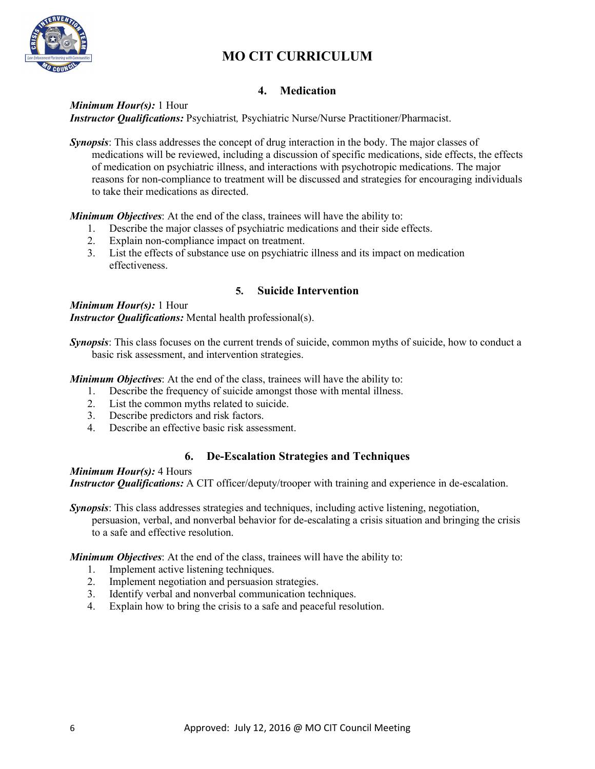

# **4. Medication**

#### *Minimum Hour(s):* 1 Hour *Instructor Qualifications:* Psychiatrist*,* Psychiatric Nurse/Nurse Practitioner/Pharmacist.

*Synopsis*: This class addresses the concept of drug interaction in the body. The major classes of medications will be reviewed, including a discussion of specific medications, side effects, the effects of medication on psychiatric illness, and interactions with psychotropic medications. The major reasons for non-compliance to treatment will be discussed and strategies for encouraging individuals to take their medications as directed.

*Minimum Objectives*: At the end of the class, trainees will have the ability to:

- 1. Describe the major classes of psychiatric medications and their side effects.
- 2. Explain non-compliance impact on treatment.
- 3. List the effects of substance use on psychiatric illness and its impact on medication effectiveness.

# **5. Suicide Intervention**

#### *Minimum Hour(s):* 1 Hour *Instructor Qualifications:* Mental health professional(s).

*Synopsis*: This class focuses on the current trends of suicide, common myths of suicide, how to conduct a basic risk assessment, and intervention strategies.

*Minimum Objectives*: At the end of the class, trainees will have the ability to:

- 1. Describe the frequency of suicide amongst those with mental illness.
- 2. List the common myths related to suicide.
- 3. Describe predictors and risk factors.
- 4. Describe an effective basic risk assessment.

# **6. De-Escalation Strategies and Techniques**

#### *Minimum Hour(s):* 4 Hours *Instructor Qualifications:* A CIT officer/deputy/trooper with training and experience in de-escalation.

*Synopsis*: This class addresses strategies and techniques, including active listening, negotiation, persuasion, verbal, and nonverbal behavior for de-escalating a crisis situation and bringing the crisis to a safe and effective resolution.

- 1. Implement active listening techniques.
- 2. Implement negotiation and persuasion strategies.
- 3. Identify verbal and nonverbal communication techniques.
- 4. Explain how to bring the crisis to a safe and peaceful resolution.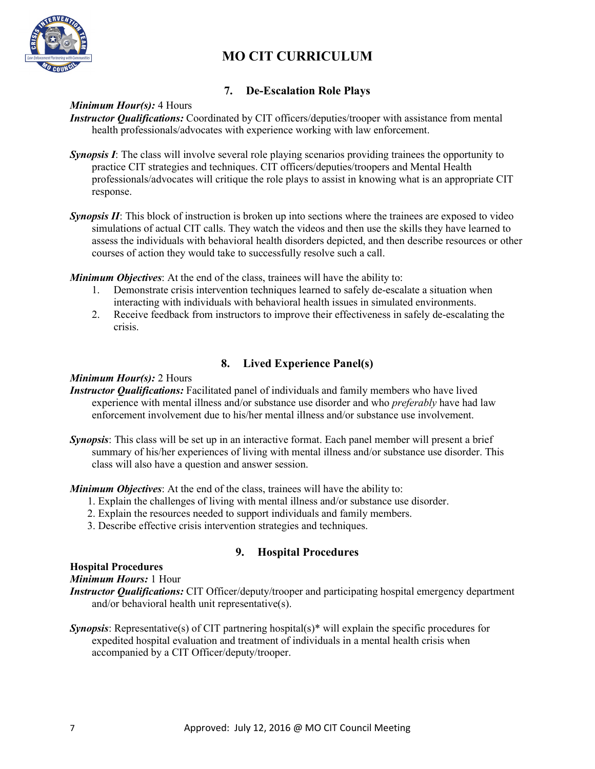

# **7. De-Escalation Role Plays**

# *Minimum Hour(s):* 4 Hours

*Instructor Qualifications:* Coordinated by CIT officers/deputies/trooper with assistance from mental health professionals/advocates with experience working with law enforcement.

- *Synopsis I*: The class will involve several role playing scenarios providing trainees the opportunity to practice CIT strategies and techniques. CIT officers/deputies/troopers and Mental Health professionals/advocates will critique the role plays to assist in knowing what is an appropriate CIT response.
- *Synopsis II*: This block of instruction is broken up into sections where the trainees are exposed to video simulations of actual CIT calls. They watch the videos and then use the skills they have learned to assess the individuals with behavioral health disorders depicted, and then describe resources or other courses of action they would take to successfully resolve such a call.

*Minimum Objectives*: At the end of the class, trainees will have the ability to:

- 1. Demonstrate crisis intervention techniques learned to safely de-escalate a situation when interacting with individuals with behavioral health issues in simulated environments.
- 2. Receive feedback from instructors to improve their effectiveness in safely de-escalating the crisis.

# **8. Lived Experience Panel(s)**

#### *Minimum Hour(s):* 2 Hours

- *Instructor Qualifications:* Facilitated panel of individuals and family members who have lived experience with mental illness and/or substance use disorder and who *preferably* have had law enforcement involvement due to his/her mental illness and/or substance use involvement.
- *Synopsis*: This class will be set up in an interactive format. Each panel member will present a brief summary of his/her experiences of living with mental illness and/or substance use disorder. This class will also have a question and answer session.

*Minimum Objectives*: At the end of the class, trainees will have the ability to:

- 1. Explain the challenges of living with mental illness and/or substance use disorder.
- 2. Explain the resources needed to support individuals and family members.
- 3. Describe effective crisis intervention strategies and techniques.

# **9. Hospital Procedures**

# **Hospital Procedures**

## *Minimum Hours:* 1 Hour

- *Instructor Qualifications:* CIT Officer/deputy/trooper and participating hospital emergency department and/or behavioral health unit representative(s).
- *Synopsis*: Representative(s) of CIT partnering hospital(s)<sup>\*</sup> will explain the specific procedures for expedited hospital evaluation and treatment of individuals in a mental health crisis when accompanied by a CIT Officer/deputy/trooper.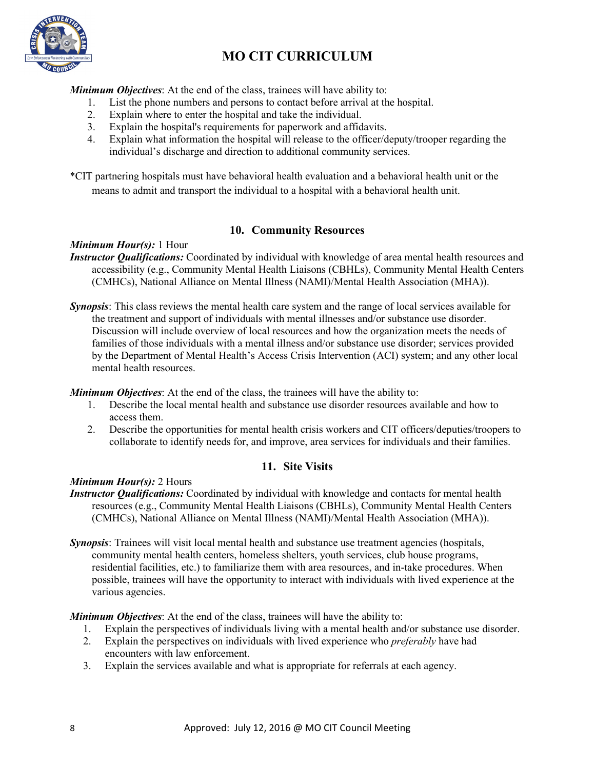

*Minimum Objectives*: At the end of the class, trainees will have ability to:

- 1. List the phone numbers and persons to contact before arrival at the hospital.
- 2. Explain where to enter the hospital and take the individual.
- 3. Explain the hospital's requirements for paperwork and affidavits.
- 4. Explain what information the hospital will release to the officer/deputy/trooper regarding the individual's discharge and direction to additional community services.

\*CIT partnering hospitals must have behavioral health evaluation and a behavioral health unit or the means to admit and transport the individual to a hospital with a behavioral health unit.

# **10. Community Resources**

## *Minimum Hour(s):* 1 Hour

- *Instructor Qualifications:* Coordinated by individual with knowledge of area mental health resources and accessibility (e.g., Community Mental Health Liaisons (CBHLs), Community Mental Health Centers (CMHCs), National Alliance on Mental Illness (NAMI)/Mental Health Association (MHA)).
- *Synopsis*: This class reviews the mental health care system and the range of local services available for the treatment and support of individuals with mental illnesses and/or substance use disorder. Discussion will include overview of local resources and how the organization meets the needs of families of those individuals with a mental illness and/or substance use disorder; services provided by the Department of Mental Health's Access Crisis Intervention (ACI) system; and any other local mental health resources.

*Minimum Objectives*: At the end of the class, the trainees will have the ability to:

- 1. Describe the local mental health and substance use disorder resources available and how to access them.
- 2. Describe the opportunities for mental health crisis workers and CIT officers/deputies/troopers to collaborate to identify needs for, and improve, area services for individuals and their families.

# **11. Site Visits**

#### *Minimum Hour(s):* 2 Hours

- *Instructor Qualifications:* Coordinated by individual with knowledge and contacts for mental health resources (e.g., Community Mental Health Liaisons (CBHLs), Community Mental Health Centers (CMHCs), National Alliance on Mental Illness (NAMI)/Mental Health Association (MHA)).
- *Synopsis*: Trainees will visit local mental health and substance use treatment agencies (hospitals, community mental health centers, homeless shelters, youth services, club house programs, residential facilities, etc.) to familiarize them with area resources, and in-take procedures. When possible, trainees will have the opportunity to interact with individuals with lived experience at the various agencies.

- 1. Explain the perspectives of individuals living with a mental health and/or substance use disorder.<br>2. Explain the perspectives on individuals with lived experience who *preferably* have had
- 2. Explain the perspectives on individuals with lived experience who *preferably* have had encounters with law enforcement.
- 3. Explain the services available and what is appropriate for referrals at each agency.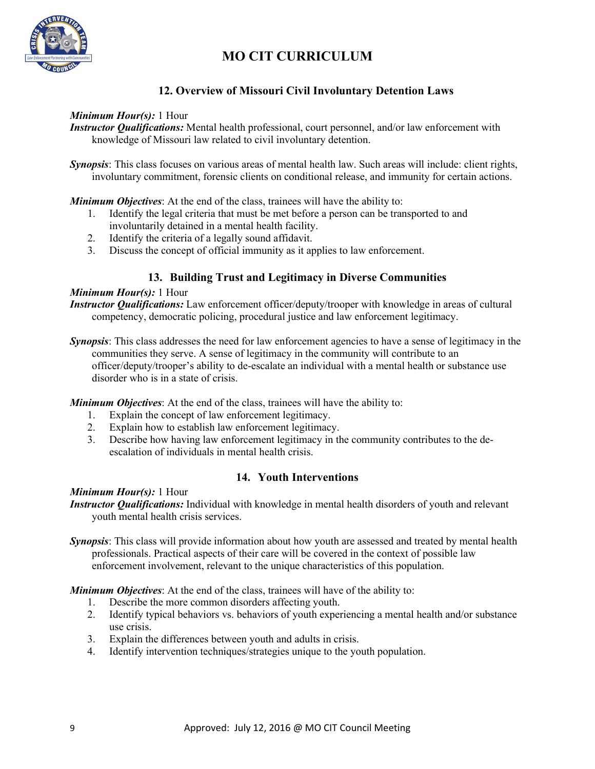

# **12. Overview of Missouri Civil Involuntary Detention Laws**

## *Minimum Hour(s):* 1 Hour

*Instructor Qualifications:* Mental health professional, court personnel, and/or law enforcement with knowledge of Missouri law related to civil involuntary detention.

*Synopsis*: This class focuses on various areas of mental health law. Such areas will include: client rights, involuntary commitment, forensic clients on conditional release, and immunity for certain actions.

*Minimum Objectives*: At the end of the class, trainees will have the ability to:

- 1. Identify the legal criteria that must be met before a person can be transported to and involuntarily detained in a mental health facility.
- 2. Identify the criteria of a legally sound affidavit.
- 3. Discuss the concept of official immunity as it applies to law enforcement.

# **13. Building Trust and Legitimacy in Diverse Communities**

## *Minimum Hour(s):* 1 Hour

*Instructor Qualifications:* Law enforcement officer/deputy/trooper with knowledge in areas of cultural competency, democratic policing, procedural justice and law enforcement legitimacy.

*Synopsis*: This class addresses the need for law enforcement agencies to have a sense of legitimacy in the communities they serve. A sense of legitimacy in the community will contribute to an officer/deputy/trooper's ability to de-escalate an individual with a mental health or substance use disorder who is in a state of crisis.

*Minimum Objectives*: At the end of the class, trainees will have the ability to:

- 1. Explain the concept of law enforcement legitimacy.
- 2. Explain how to establish law enforcement legitimacy.
- 3. Describe how having law enforcement legitimacy in the community contributes to the deescalation of individuals in mental health crisis.

# **14. Youth Interventions**

#### *Minimum Hour(s):* 1 Hour

*Instructor Qualifications:* Individual with knowledge in mental health disorders of youth and relevant youth mental health crisis services.

*Synopsis*: This class will provide information about how youth are assessed and treated by mental health professionals. Practical aspects of their care will be covered in the context of possible law enforcement involvement, relevant to the unique characteristics of this population.

- 1. Describe the more common disorders affecting youth.
- 2. Identify typical behaviors vs. behaviors of youth experiencing a mental health and/or substance use crisis.
- 3. Explain the differences between youth and adults in crisis.
- 4. Identify intervention techniques/strategies unique to the youth population.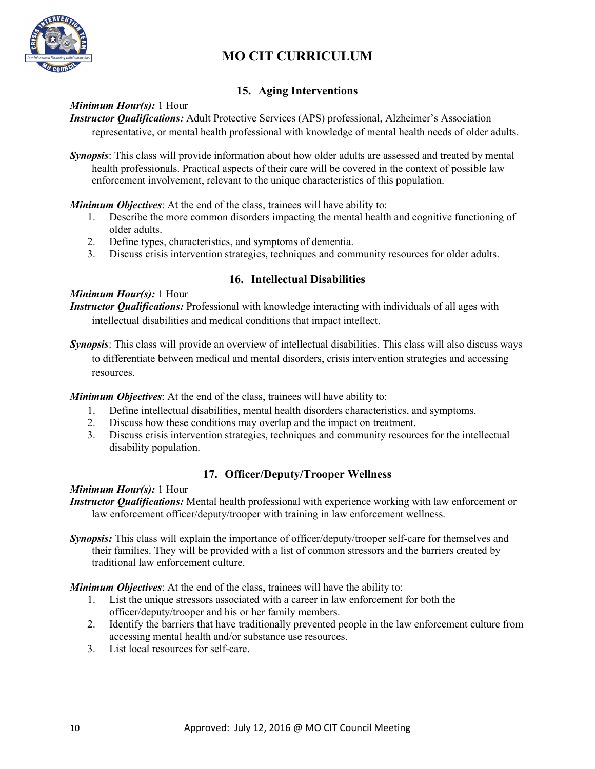

# **15. Aging Interventions**

## *Minimum Hour(s):* 1 Hour

*Instructor Qualifications:* Adult Protective Services (APS) professional, Alzheimer's Association representative, or mental health professional with knowledge of mental health needs of older adults.

*Synopsis*: This class will provide information about how older adults are assessed and treated by mental health professionals. Practical aspects of their care will be covered in the context of possible law enforcement involvement, relevant to the unique characteristics of this population.

*Minimum Objectives*: At the end of the class, trainees will have ability to:

- 1. Describe the more common disorders impacting the mental health and cognitive functioning of older adults.
- 2. Define types, characteristics, and symptoms of dementia.
- 3. Discuss crisis intervention strategies, techniques and community resources for older adults.

# **16. Intellectual Disabilities**

*Minimum Hour(s):* 1 Hour *Instructor Qualifications:* Professional with knowledge interacting with individuals of all ages with intellectual disabilities and medical conditions that impact intellect.

*Synopsis*: This class will provide an overview of intellectual disabilities. This class will also discuss ways to differentiate between medical and mental disorders, crisis intervention strategies and accessing resources.

*Minimum Objectives*: At the end of the class, trainees will have ability to:

- 1. Define intellectual disabilities, mental health disorders characteristics, and symptoms.
- 2. Discuss how these conditions may overlap and the impact on treatment.
- 3. Discuss crisis intervention strategies, techniques and community resources for the intellectual disability population.

# **17. Officer/Deputy/Trooper Wellness**

#### *Minimum Hour(s):* 1 Hour

*Instructor Qualifications:* Mental health professional with experience working with law enforcement or law enforcement officer/deputy/trooper with training in law enforcement wellness.

*Synopsis:* This class will explain the importance of officer/deputy/trooper self-care for themselves and their families. They will be provided with a list of common stressors and the barriers created by traditional law enforcement culture.

- 1. List the unique stressors associated with a career in law enforcement for both the officer/deputy/trooper and his or her family members.
- 2. Identify the barriers that have traditionally prevented people in the law enforcement culture from accessing mental health and/or substance use resources.
- 3. List local resources for self-care.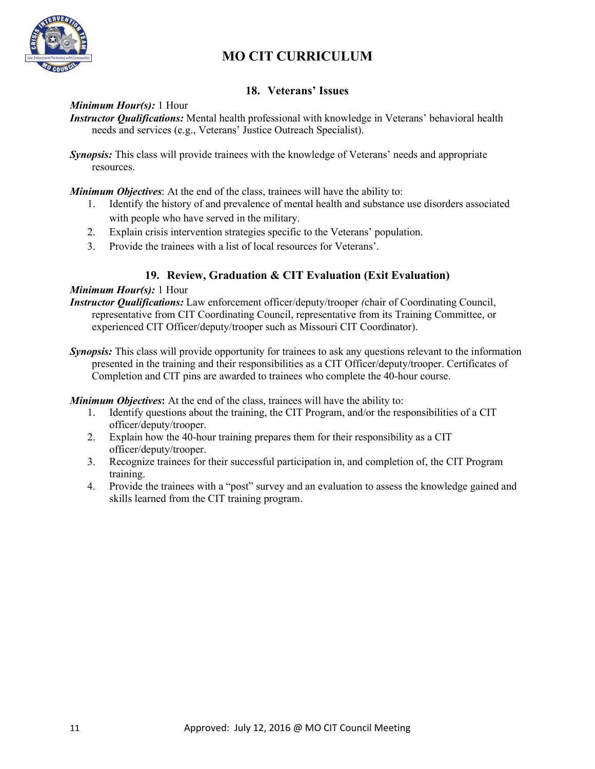

# **18. Veterans' Issues**

## *Minimum Hour(s):* 1 Hour

*Instructor Qualifications:* Mental health professional with knowledge in Veterans' behavioral health needs and services (e.g., Veterans' Justice Outreach Specialist).

*Synopsis:* This class will provide trainees with the knowledge of Veterans' needs and appropriate resources.

*Minimum Objectives*: At the end of the class, trainees will have the ability to:

- 1. Identify the history of and prevalence of mental health and substance use disorders associated with people who have served in the military.
- 2. Explain crisis intervention strategies specific to the Veterans' population.
- 3. Provide the trainees with a list of local resources for Veterans'.

# **19. Review, Graduation & CIT Evaluation (Exit Evaluation)**

#### *Minimum Hour(s):* 1 Hour

- *Instructor Qualifications:* Law enforcement officer/deputy/trooper *(*chair of Coordinating Council, representative from CIT Coordinating Council, representative from its Training Committee, or experienced CIT Officer/deputy/trooper such as Missouri CIT Coordinator).
- *Synopsis:* This class will provide opportunity for trainees to ask any questions relevant to the information presented in the training and their responsibilities as a CIT Officer/deputy/trooper. Certificates of Completion and CIT pins are awarded to trainees who complete the 40-hour course.

- 1. Identify questions about the training, the CIT Program, and/or the responsibilities of a CIT officer/deputy/trooper.
- 2. Explain how the 40-hour training prepares them for their responsibility as a CIT officer/deputy/trooper.
- 3. Recognize trainees for their successful participation in, and completion of, the CIT Program training.
- 4. Provide the trainees with a "post" survey and an evaluation to assess the knowledge gained and skills learned from the CIT training program.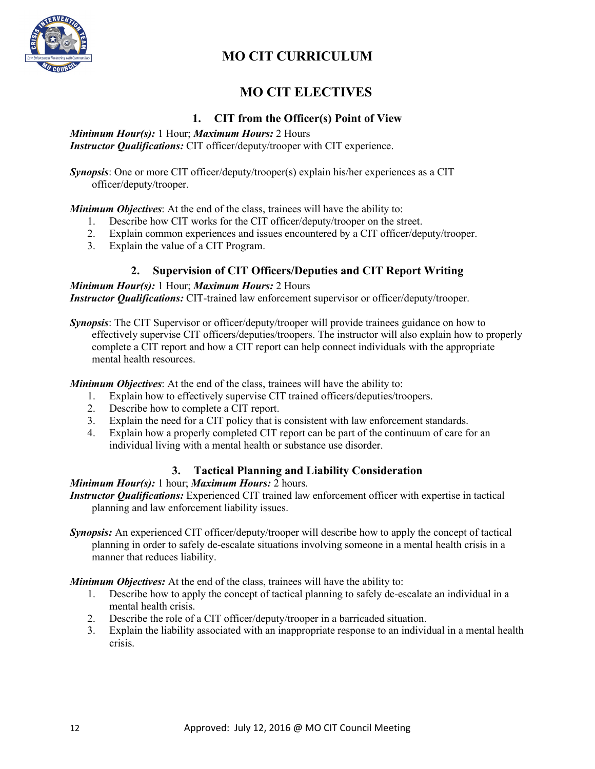

# **MO CIT ELECTIVES**

# **1. CIT from the Officer(s) Point of View**

*Minimum Hour(s):* 1 Hour; *Maximum Hours:* 2 Hours

*Instructor Qualifications:* CIT officer/deputy/trooper with CIT experience.

*Synopsis*: One or more CIT officer/deputy/trooper(s) explain his/her experiences as a CIT officer/deputy/trooper.

*Minimum Objectives*: At the end of the class, trainees will have the ability to:

- 1. Describe how CIT works for the CIT officer/deputy/trooper on the street.
- 2. Explain common experiences and issues encountered by a CIT officer/deputy/trooper.
- 3. Explain the value of a CIT Program.

# **2. Supervision of CIT Officers/Deputies and CIT Report Writing**

## *Minimum Hour(s):* 1 Hour; *Maximum Hours:* 2 Hours

*Instructor Qualifications:* CIT-trained law enforcement supervisor or officer/deputy/trooper.

*Synopsis*: The CIT Supervisor or officer/deputy/trooper will provide trainees guidance on how to effectively supervise CIT officers/deputies/troopers. The instructor will also explain how to properly complete a CIT report and how a CIT report can help connect individuals with the appropriate mental health resources.

*Minimum Objectives*: At the end of the class, trainees will have the ability to:

- 1. Explain how to effectively supervise CIT trained officers/deputies/troopers.
- 2. Describe how to complete a CIT report.
- 3. Explain the need for a CIT policy that is consistent with law enforcement standards.
- 4. Explain how a properly completed CIT report can be part of the continuum of care for an individual living with a mental health or substance use disorder.

# **3. Tactical Planning and Liability Consideration**

# *Minimum Hour(s):* 1 hour; *Maximum Hours:* 2 hours.

*Instructor Qualifications:* Experienced CIT trained law enforcement officer with expertise in tactical planning and law enforcement liability issues.

*Synopsis:* An experienced CIT officer/deputy/trooper will describe how to apply the concept of tactical planning in order to safely de-escalate situations involving someone in a mental health crisis in a manner that reduces liability.

- 1. Describe how to apply the concept of tactical planning to safely de-escalate an individual in a mental health crisis.
- 2. Describe the role of a CIT officer/deputy/trooper in a barricaded situation.
- 3. Explain the liability associated with an inappropriate response to an individual in a mental health crisis.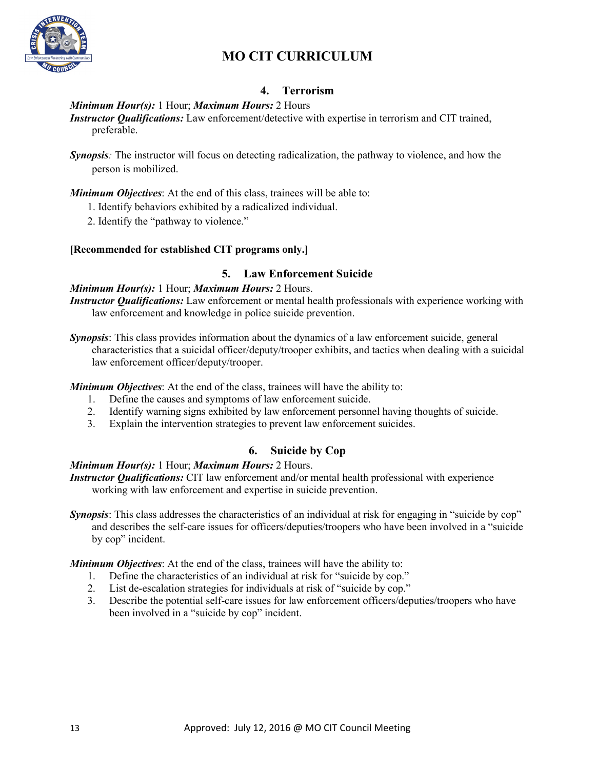

# **4. Terrorism**

## *Minimum Hour(s):* 1 Hour; *Maximum Hours:* 2 Hours

*Instructor Qualifications:* Law enforcement/detective with expertise in terrorism and CIT trained, preferable.

*Synopsis:* The instructor will focus on detecting radicalization, the pathway to violence, and how the person is mobilized.

*Minimum Objectives*: At the end of this class, trainees will be able to:

- 1. Identify behaviors exhibited by a radicalized individual.
- 2. Identify the "pathway to violence."

## **[Recommended for established CIT programs only.]**

# **5. Law Enforcement Suicide**

## *Minimum Hour(s):* 1 Hour; *Maximum Hours:* 2 Hours.

*Instructor Qualifications:* Law enforcement or mental health professionals with experience working with law enforcement and knowledge in police suicide prevention.

*Synopsis*: This class provides information about the dynamics of a law enforcement suicide, general characteristics that a suicidal officer/deputy/trooper exhibits, and tactics when dealing with a suicidal law enforcement officer/deputy/trooper.

*Minimum Objectives*: At the end of the class, trainees will have the ability to:

- 1. Define the causes and symptoms of law enforcement suicide.
- 2. Identify warning signs exhibited by law enforcement personnel having thoughts of suicide.
- 3. Explain the intervention strategies to prevent law enforcement suicides.

# **6. Suicide by Cop**

# *Minimum Hour(s):* 1 Hour; *Maximum Hours:* 2 Hours.

*Instructor Qualifications:* CIT law enforcement and/or mental health professional with experience working with law enforcement and expertise in suicide prevention.

*Synopsis*: This class addresses the characteristics of an individual at risk for engaging in "suicide by cop" and describes the self-care issues for officers/deputies/troopers who have been involved in a "suicide by cop" incident.

- 1. Define the characteristics of an individual at risk for "suicide by cop."
- 2. List de-escalation strategies for individuals at risk of "suicide by cop."
- 3. Describe the potential self-care issues for law enforcement officers/deputies/troopers who have been involved in a "suicide by cop" incident.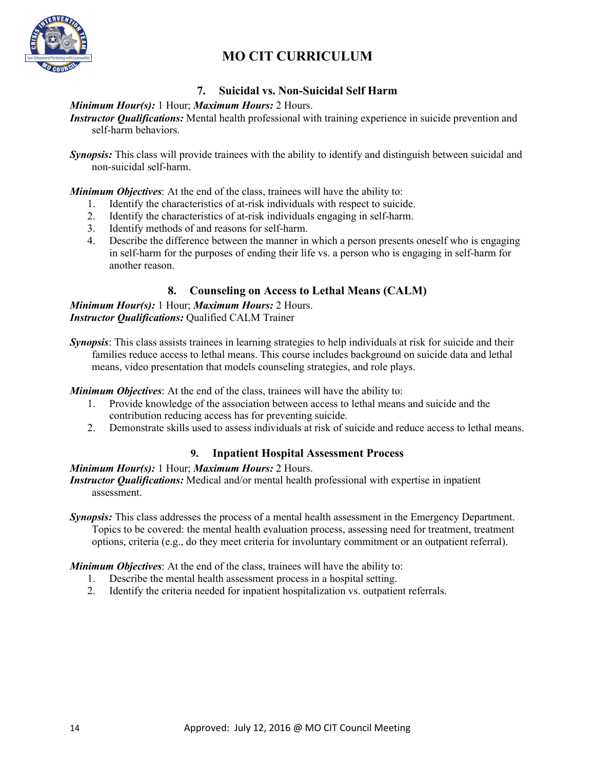

# **7. Suicidal vs. Non-Suicidal Self Harm**

## *Minimum Hour(s):* 1 Hour; *Maximum Hours:* 2 Hours.

*Instructor Qualifications:* Mental health professional with training experience in suicide prevention and self-harm behaviors.

*Synopsis:* This class will provide trainees with the ability to identify and distinguish between suicidal and non-suicidal self-harm.

*Minimum Objectives*: At the end of the class, trainees will have the ability to:

- 1. Identify the characteristics of at-risk individuals with respect to suicide.
- 2. Identify the characteristics of at-risk individuals engaging in self-harm.
- 3. Identify methods of and reasons for self-harm.
- 4. Describe the difference between the manner in which a person presents oneself who is engaging in self-harm for the purposes of ending their life vs. a person who is engaging in self-harm for another reason.

# **8. Counseling on Access to Lethal Means (CALM)**

*Minimum Hour(s):* 1 Hour; *Maximum Hours:* 2 Hours. *Instructor Qualifications:* Qualified CALM Trainer

*Synopsis*: This class assists trainees in learning strategies to help individuals at risk for suicide and their families reduce access to lethal means. This course includes background on suicide data and lethal means, video presentation that models counseling strategies, and role plays.

*Minimum Objectives*: At the end of the class, trainees will have the ability to:

- 1. Provide knowledge of the association between access to lethal means and suicide and the contribution reducing access has for preventing suicide.
- 2. Demonstrate skills used to assess individuals at risk of suicide and reduce access to lethal means.

# **9. Inpatient Hospital Assessment Process**

#### *Minimum Hour(s):* 1 Hour; *Maximum Hours:* 2 Hours.

*Instructor Qualifications:* Medical and/or mental health professional with expertise in inpatient assessment.

*Synopsis:* This class addresses the process of a mental health assessment in the Emergency Department. Topics to be covered: the mental health evaluation process, assessing need for treatment, treatment options, criteria (e.g., do they meet criteria for involuntary commitment or an outpatient referral).

- 1. Describe the mental health assessment process in a hospital setting.
- 2. Identify the criteria needed for inpatient hospitalization vs. outpatient referrals.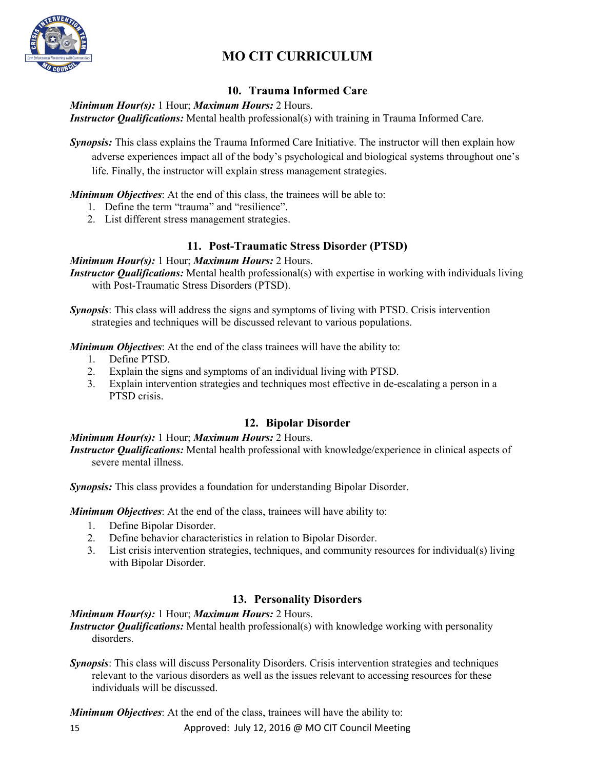

# **10. Trauma Informed Care**

*Minimum Hour(s):* 1 Hour; *Maximum Hours:* 2 Hours.

*Instructor Qualifications:* Mental health professional(s) with training in Trauma Informed Care.

*Synopsis:* This class explains the Trauma Informed Care Initiative. The instructor will then explain how adverse experiences impact all of the body's psychological and biological systems throughout one's life. Finally, the instructor will explain stress management strategies.

*Minimum Objectives*: At the end of this class, the trainees will be able to:

- 1. Define the term "trauma" and "resilience".
- 2. List different stress management strategies.

# **11. Post-Traumatic Stress Disorder (PTSD)**

#### *Minimum Hour(s):* 1 Hour; *Maximum Hours:* 2 Hours.

*Instructor Qualifications:* Mental health professional(s) with expertise in working with individuals living with Post-Traumatic Stress Disorders (PTSD).

*Synopsis*: This class will address the signs and symptoms of living with PTSD. Crisis intervention strategies and techniques will be discussed relevant to various populations.

*Minimum Objectives*: At the end of the class trainees will have the ability to:

- 1. Define PTSD.
- 2. Explain the signs and symptoms of an individual living with PTSD.
- 3. Explain intervention strategies and techniques most effective in de-escalating a person in a PTSD crisis.

# **12. Bipolar Disorder**

# *Minimum Hour(s):* 1 Hour; *Maximum Hours:* 2 Hours.

*Instructor Qualifications:* Mental health professional with knowledge/experience in clinical aspects of severe mental illness.

*Synopsis:* This class provides a foundation for understanding Bipolar Disorder.

*Minimum Objectives*: At the end of the class, trainees will have ability to:

- 1. Define Bipolar Disorder.
- 2. Define behavior characteristics in relation to Bipolar Disorder.
- 3. List crisis intervention strategies, techniques, and community resources for individual(s) living with Bipolar Disorder.

# **13. Personality Disorders**

#### *Minimum Hour(s):* 1 Hour; *Maximum Hours:* 2 Hours.

*Instructor Qualifications:* Mental health professional(s) with knowledge working with personality disorders.

*Synopsis*: This class will discuss Personality Disorders. Crisis intervention strategies and techniques relevant to the various disorders as well as the issues relevant to accessing resources for these individuals will be discussed.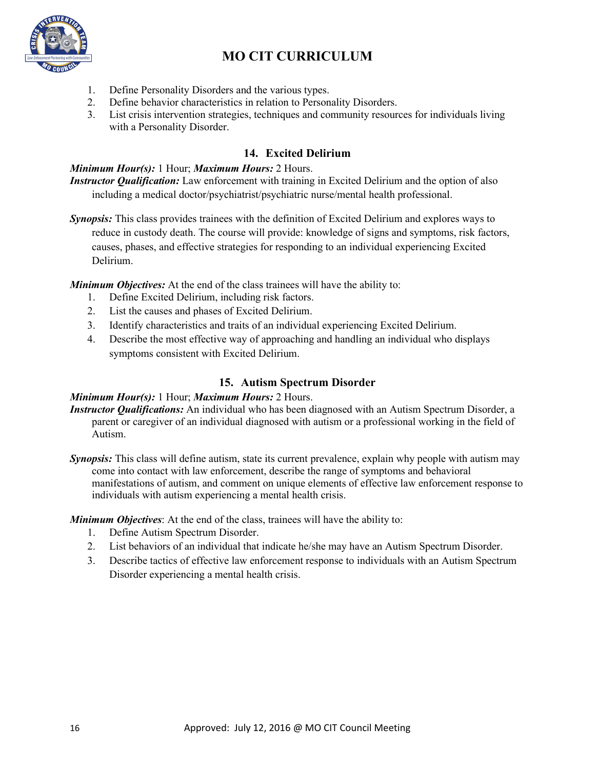

- 1. Define Personality Disorders and the various types.
- 2. Define behavior characteristics in relation to Personality Disorders.
- 3. List crisis intervention strategies, techniques and community resources for individuals living with a Personality Disorder.

# **14. Excited Delirium**

## *Minimum Hour(s):* 1 Hour; *Maximum Hours:* 2 Hours.

*Instructor Qualification:* Law enforcement with training in Excited Delirium and the option of also including a medical doctor/psychiatrist/psychiatric nurse/mental health professional.

*Synopsis:* This class provides trainees with the definition of Excited Delirium and explores ways to reduce in custody death. The course will provide: knowledge of signs and symptoms, risk factors, causes, phases, and effective strategies for responding to an individual experiencing Excited Delirium.

*Minimum Objectives:* At the end of the class trainees will have the ability to:

- 1. Define Excited Delirium, including risk factors.
- 2. List the causes and phases of Excited Delirium.
- 3. Identify characteristics and traits of an individual experiencing Excited Delirium.
- 4. Describe the most effective way of approaching and handling an individual who displays symptoms consistent with Excited Delirium.

# **15. Autism Spectrum Disorder**

## *Minimum Hour(s):* 1 Hour; *Maximum Hours:* 2 Hours.

- *Instructor Qualifications:* An individual who has been diagnosed with an Autism Spectrum Disorder, a parent or caregiver of an individual diagnosed with autism or a professional working in the field of Autism.
- *Synopsis:* This class will define autism, state its current prevalence, explain why people with autism may come into contact with law enforcement, describe the range of symptoms and behavioral manifestations of autism, and comment on unique elements of effective law enforcement response to individuals with autism experiencing a mental health crisis.

- 1. Define Autism Spectrum Disorder.
- 2. List behaviors of an individual that indicate he/she may have an Autism Spectrum Disorder.
- 3. Describe tactics of effective law enforcement response to individuals with an Autism Spectrum Disorder experiencing a mental health crisis.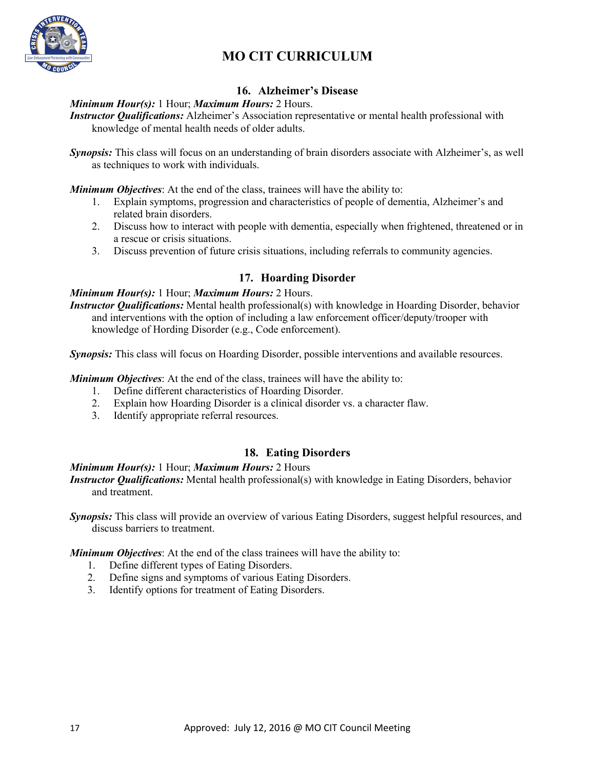

# **16. Alzheimer's Disease**

# *Minimum Hour(s):* 1 Hour; *Maximum Hours:* 2 Hours.

*Instructor Qualifications:* Alzheimer's Association representative or mental health professional with knowledge of mental health needs of older adults.

*Synopsis:* This class will focus on an understanding of brain disorders associate with Alzheimer's, as well as techniques to work with individuals.

*Minimum Objectives*: At the end of the class, trainees will have the ability to:

- 1. Explain symptoms, progression and characteristics of people of dementia, Alzheimer's and related brain disorders.
- 2. Discuss how to interact with people with dementia, especially when frightened, threatened or in a rescue or crisis situations.
- 3. Discuss prevention of future crisis situations, including referrals to community agencies.

# **17. Hoarding Disorder**

# *Minimum Hour(s):* 1 Hour; *Maximum Hours:* 2 Hours.

*Instructor Qualifications:* Mental health professional(s) with knowledge in Hoarding Disorder, behavior and interventions with the option of including a law enforcement officer/deputy/trooper with knowledge of Hording Disorder (e.g., Code enforcement).

*Synopsis:* This class will focus on Hoarding Disorder, possible interventions and available resources.

*Minimum Objectives*: At the end of the class, trainees will have the ability to:

- 1. Define different characteristics of Hoarding Disorder.
- 2. Explain how Hoarding Disorder is a clinical disorder vs. a character flaw.
- 3. Identify appropriate referral resources.

# **18. Eating Disorders**

## *Minimum Hour(s):* 1 Hour; *Maximum Hours:* 2 Hours

*Instructor Qualifications:* Mental health professional(s) with knowledge in Eating Disorders, behavior and treatment.

*Synopsis:* This class will provide an overview of various Eating Disorders, suggest helpful resources, and discuss barriers to treatment.

- 1. Define different types of Eating Disorders.
- 2. Define signs and symptoms of various Eating Disorders.
- 3. Identify options for treatment of Eating Disorders.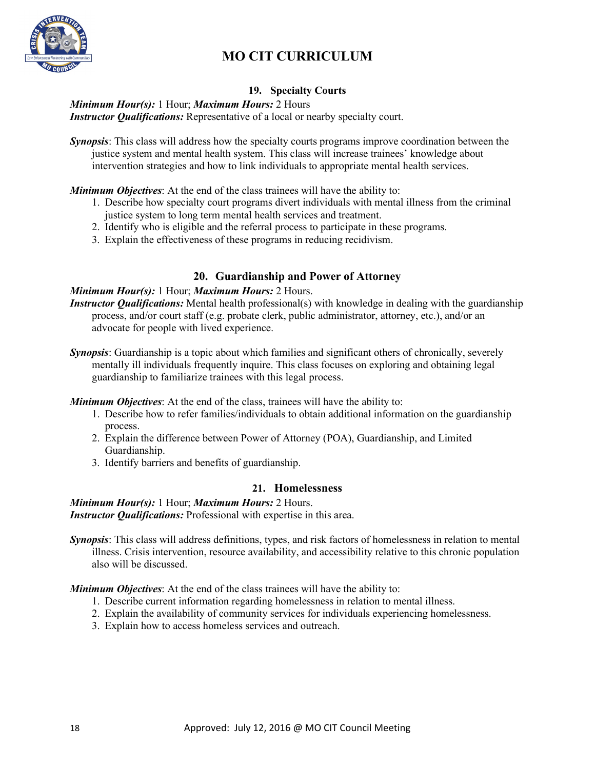

# **19. Specialty Courts**

#### *Minimum Hour(s):* 1 Hour; *Maximum Hours:* 2 Hours *Instructor Qualifications:* Representative of a local or nearby specialty court.

*Synopsis*: This class will address how the specialty courts programs improve coordination between the justice system and mental health system. This class will increase trainees' knowledge about intervention strategies and how to link individuals to appropriate mental health services.

*Minimum Objectives*: At the end of the class trainees will have the ability to:

- 1. Describe how specialty court programs divert individuals with mental illness from the criminal justice system to long term mental health services and treatment.
- 2. Identify who is eligible and the referral process to participate in these programs.
- 3. Explain the effectiveness of these programs in reducing recidivism.

## **20. Guardianship and Power of Attorney**

#### *Minimum Hour(s):* 1 Hour; *Maximum Hours:* 2 Hours.

- *Instructor Qualifications:* Mental health professional(s) with knowledge in dealing with the guardianship process, and/or court staff (e.g. probate clerk, public administrator, attorney, etc.), and/or an advocate for people with lived experience.
- *Synopsis*: Guardianship is a topic about which families and significant others of chronically, severely mentally ill individuals frequently inquire. This class focuses on exploring and obtaining legal guardianship to familiarize trainees with this legal process.

*Minimum Objectives*: At the end of the class, trainees will have the ability to:

- 1. Describe how to refer families/individuals to obtain additional information on the guardianship process.
- 2. Explain the difference between Power of Attorney (POA), Guardianship, and Limited Guardianship.
- 3. Identify barriers and benefits of guardianship.

# **21. Homelessness**

#### *Minimum Hour(s):* 1 Hour; *Maximum Hours:* 2 Hours.

*Instructor Qualifications:* Professional with expertise in this area.

*Synopsis*: This class will address definitions, types, and risk factors of homelessness in relation to mental illness. Crisis intervention, resource availability, and accessibility relative to this chronic population also will be discussed.

- 1. Describe current information regarding homelessness in relation to mental illness.
- 2. Explain the availability of community services for individuals experiencing homelessness.
- 3. Explain how to access homeless services and outreach.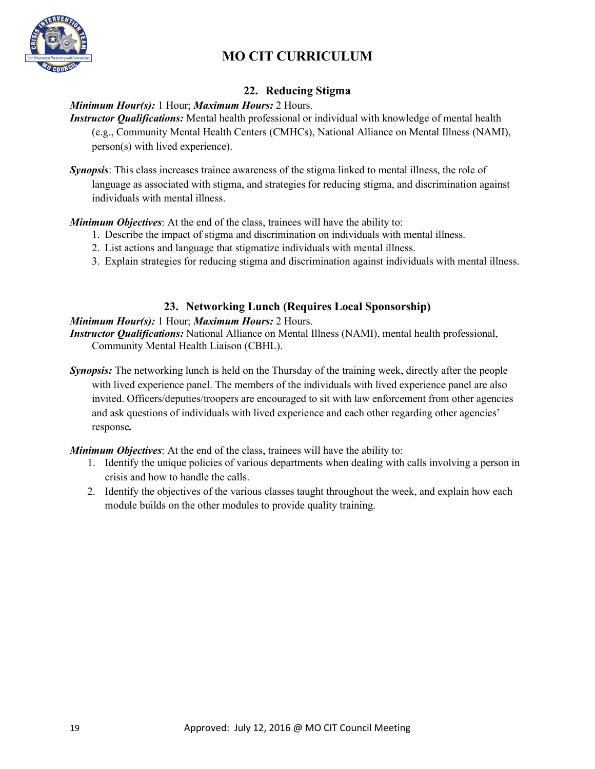

# **22. Reducing Stigma**

## *Minimum Hour(s):* 1 Hour; *Maximum Hours:* 2 Hours.

*Instructor Qualifications:* Mental health professional or individual with knowledge of mental health (e.g., Community Mental Health Centers (CMHCs), National Alliance on Mental Illness (NAMI), person(s) with lived experience).

*Minimum Objectives*: At the end of the class, trainees will have the ability to:

- 1. Describe the impact of stigma and discrimination on individuals with mental illness.
- 2. List actions and language that stigmatize individuals with mental illness.
- 3. Explain strategies for reducing stigma and discrimination against individuals with mental illness.

## **23. Networking Lunch (Requires Local Sponsorship)**

## *Minimum Hour(s):* 1 Hour; *Maximum Hours:* 2 Hours.

- *Instructor Qualifications:* National Alliance on Mental Illness (NAMI), mental health professional, Community Mental Health Liaison (CBHL).
- *Synopsis:* The networking lunch is held on the Thursday of the training week, directly after the people with lived experience panel. The members of the individuals with lived experience panel are also invited. Officers/deputies/troopers are encouraged to sit with law enforcement from other agencies and ask questions of individuals with lived experience and each other regarding other agencies' response*.*

- 1. Identify the unique policies of various departments when dealing with calls involving a person in crisis and how to handle the calls.
- 2. Identify the objectives of the various classes taught throughout the week, and explain how each module builds on the other modules to provide quality training.

*Synopsis*: This class increases trainee awareness of the stigma linked to mental illness, the role of language as associated with stigma, and strategies for reducing stigma, and discrimination against individuals with mental illness.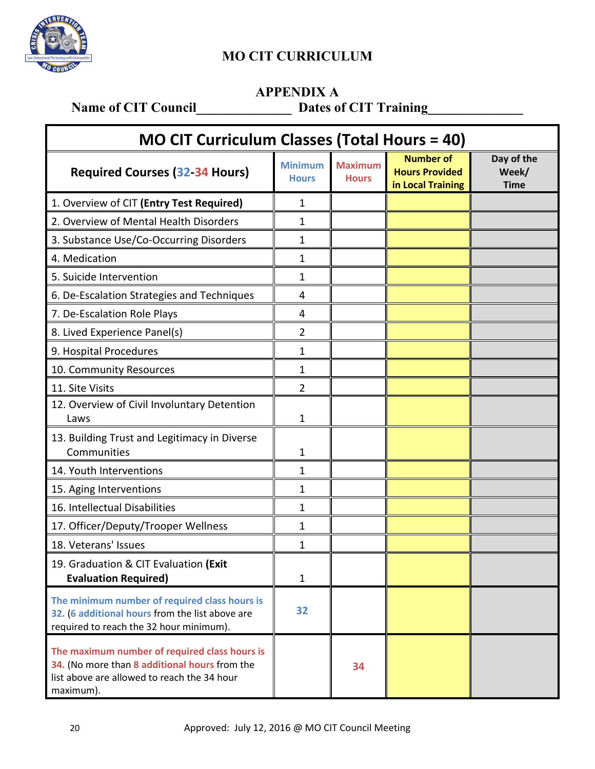

# **APPENDIX A**

Name of CIT Council\_\_\_\_\_\_\_\_\_\_\_\_\_\_\_\_\_\_\_\_\_\_\_\_ Dates of CIT Training\_

| <b>MO CIT Curriculum Classes (Total Hours = 40)</b>                                                                                                        |                                |                                |                                                                |                                    |  |
|------------------------------------------------------------------------------------------------------------------------------------------------------------|--------------------------------|--------------------------------|----------------------------------------------------------------|------------------------------------|--|
| <b>Required Courses (32-34 Hours)</b>                                                                                                                      | <b>Minimum</b><br><b>Hours</b> | <b>Maximum</b><br><b>Hours</b> | <b>Number of</b><br><b>Hours Provided</b><br>in Local Training | Day of the<br>Week/<br><b>Time</b> |  |
| 1. Overview of CIT (Entry Test Required)                                                                                                                   | 1                              |                                |                                                                |                                    |  |
| 2. Overview of Mental Health Disorders                                                                                                                     | 1                              |                                |                                                                |                                    |  |
| 3. Substance Use/Co-Occurring Disorders                                                                                                                    | 1                              |                                |                                                                |                                    |  |
| 4. Medication                                                                                                                                              | 1                              |                                |                                                                |                                    |  |
| 5. Suicide Intervention                                                                                                                                    | 1                              |                                |                                                                |                                    |  |
| 6. De-Escalation Strategies and Techniques                                                                                                                 | 4                              |                                |                                                                |                                    |  |
| 7. De-Escalation Role Plays                                                                                                                                | 4                              |                                |                                                                |                                    |  |
| 8. Lived Experience Panel(s)                                                                                                                               | $\overline{2}$                 |                                |                                                                |                                    |  |
| 9. Hospital Procedures                                                                                                                                     | 1                              |                                |                                                                |                                    |  |
| 10. Community Resources                                                                                                                                    | 1                              |                                |                                                                |                                    |  |
| 11. Site Visits                                                                                                                                            | 2                              |                                |                                                                |                                    |  |
| 12. Overview of Civil Involuntary Detention<br>Laws                                                                                                        | 1                              |                                |                                                                |                                    |  |
| 13. Building Trust and Legitimacy in Diverse<br>Communities                                                                                                | 1                              |                                |                                                                |                                    |  |
| 14. Youth Interventions                                                                                                                                    | 1                              |                                |                                                                |                                    |  |
| 15. Aging Interventions                                                                                                                                    | 1                              |                                |                                                                |                                    |  |
| 16. Intellectual Disabilities                                                                                                                              | 1                              |                                |                                                                |                                    |  |
| 17. Officer/Deputy/Trooper Wellness                                                                                                                        | 1                              |                                |                                                                |                                    |  |
| 18. Veterans' Issues                                                                                                                                       | 1                              |                                |                                                                |                                    |  |
| 19. Graduation & CIT Evaluation (Exit<br><b>Evaluation Required)</b>                                                                                       | 1                              |                                |                                                                |                                    |  |
| The minimum number of required class hours is<br>32. (6 additional hours from the list above are<br>required to reach the 32 hour minimum).                | 32                             |                                |                                                                |                                    |  |
| The maximum number of required class hours is<br>34. (No more than 8 additional hours from the<br>list above are allowed to reach the 34 hour<br>maximum). |                                | 34                             |                                                                |                                    |  |